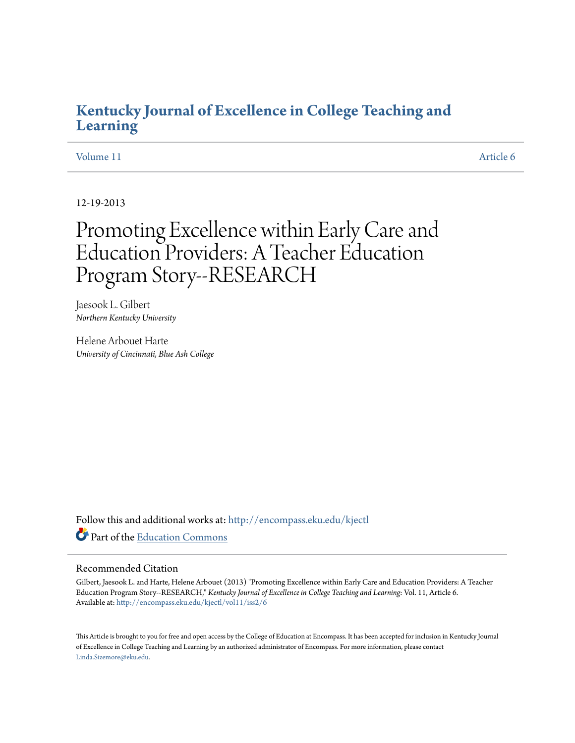# **[Kentucky Journal of Excellence in College Teaching and](http://encompass.eku.edu/kjectl?utm_source=encompass.eku.edu%2Fkjectl%2Fvol11%2Fiss2%2F6&utm_medium=PDF&utm_campaign=PDFCoverPages) [Learning](http://encompass.eku.edu/kjectl?utm_source=encompass.eku.edu%2Fkjectl%2Fvol11%2Fiss2%2F6&utm_medium=PDF&utm_campaign=PDFCoverPages)**

#### [Volume 11](http://encompass.eku.edu/kjectl/vol11?utm_source=encompass.eku.edu%2Fkjectl%2Fvol11%2Fiss2%2F6&utm_medium=PDF&utm_campaign=PDFCoverPages) [Article 6](http://encompass.eku.edu/kjectl/vol11/iss2/6?utm_source=encompass.eku.edu%2Fkjectl%2Fvol11%2Fiss2%2F6&utm_medium=PDF&utm_campaign=PDFCoverPages)

12-19-2013

# Promoting Excellence within Early Care and Education Providers: A Teacher Education Program Story--RESEARCH

Jaesook L. Gilbert *Northern Kentucky University*

Helene Arbouet Harte *University of Cincinnati, Blue Ash College*

Follow this and additional works at: [http://encompass.eku.edu/kjectl](http://encompass.eku.edu/kjectl?utm_source=encompass.eku.edu%2Fkjectl%2Fvol11%2Fiss2%2F6&utm_medium=PDF&utm_campaign=PDFCoverPages) Part of the [Education Commons](http://network.bepress.com/hgg/discipline/784?utm_source=encompass.eku.edu%2Fkjectl%2Fvol11%2Fiss2%2F6&utm_medium=PDF&utm_campaign=PDFCoverPages)

#### Recommended Citation

Gilbert, Jaesook L. and Harte, Helene Arbouet (2013) "Promoting Excellence within Early Care and Education Providers: A Teacher Education Program Story--RESEARCH," *Kentucky Journal of Excellence in College Teaching and Learning*: Vol. 11, Article 6. Available at: [http://encompass.eku.edu/kjectl/vol11/iss2/6](http://encompass.eku.edu/kjectl/vol11/iss2/6?utm_source=encompass.eku.edu%2Fkjectl%2Fvol11%2Fiss2%2F6&utm_medium=PDF&utm_campaign=PDFCoverPages)

This Article is brought to you for free and open access by the College of Education at Encompass. It has been accepted for inclusion in Kentucky Journal of Excellence in College Teaching and Learning by an authorized administrator of Encompass. For more information, please contact [Linda.Sizemore@eku.edu](mailto:Linda.Sizemore@eku.edu).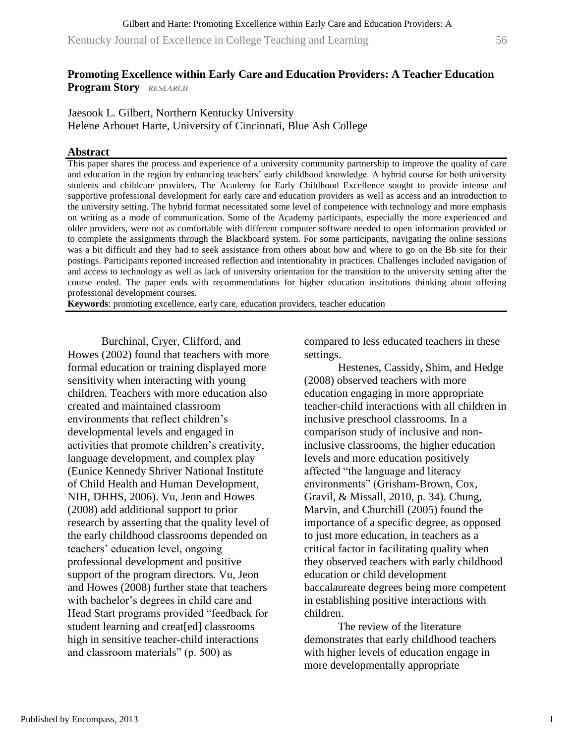Kentucky Journal of Excellence in College Teaching and Learning 56

# **Promoting Excellence within Early Care and Education Providers: A Teacher Education Program Story** *RESEARCH*

Jaesook L. Gilbert, Northern Kentucky University Helene Arbouet Harte, University of Cincinnati, Blue Ash College

# **Abstract**

This paper shares the process and experience of a university community partnership to improve the quality of care and education in the region by enhancing teachers' early childhood knowledge. A hybrid course for both university students and childcare providers, The Academy for Early Childhood Excellence sought to provide intense and supportive professional development for early care and education providers as well as access and an introduction to the university setting. The hybrid format necessitated some level of competence with technology and more emphasis on writing as a mode of communication. Some of the Academy participants, especially the more experienced and older providers, were not as comfortable with different computer software needed to open information provided or to complete the assignments through the Blackboard system. For some participants, navigating the online sessions was a bit difficult and they had to seek assistance from others about how and where to go on the Bb site for their postings. Participants reported increased reflection and intentionality in practices. Challenges included navigation of and access to technology as well as lack of university orientation for the transition to the university setting after the course ended. The paper ends with recommendations for higher education institutions thinking about offering professional development courses.

**Keywords**: promoting excellence, early care, education providers, teacher education

Burchinal, Cryer, Clifford, and Howes (2002) found that teachers with more formal education or training displayed more sensitivity when interacting with young children. Teachers with more education also created and maintained classroom environments that reflect children's developmental levels and engaged in activities that promote children's creativity, language development, and complex play (Eunice Kennedy Shriver National Institute of Child Health and Human Development, NIH, DHHS, 2006). Vu, Jeon and Howes (2008) add additional support to prior research by asserting that the quality level of the early childhood classrooms depended on teachers' education level, ongoing professional development and positive support of the program directors. Vu, Jeon and Howes (2008) further state that teachers with bachelor's degrees in child care and Head Start programs provided "feedback for student learning and creat[ed] classrooms high in sensitive teacher-child interactions and classroom materials" (p. 500) as

compared to less educated teachers in these settings.

Hestenes, Cassidy, Shim, and Hedge (2008) observed teachers with more education engaging in more appropriate teacher-child interactions with all children in inclusive preschool classrooms. In a comparison study of inclusive and noninclusive classrooms, the higher education levels and more education positively affected "the language and literacy environments" (Grisham-Brown, Cox, Gravil, & Missall, 2010, p. 34). Chung, Marvin, and Churchill (2005) found the importance of a specific degree, as opposed to just more education, in teachers as a critical factor in facilitating quality when they observed teachers with early childhood education or child development baccalaureate degrees being more competent in establishing positive interactions with children.

The review of the literature demonstrates that early childhood teachers with higher levels of education engage in more developmentally appropriate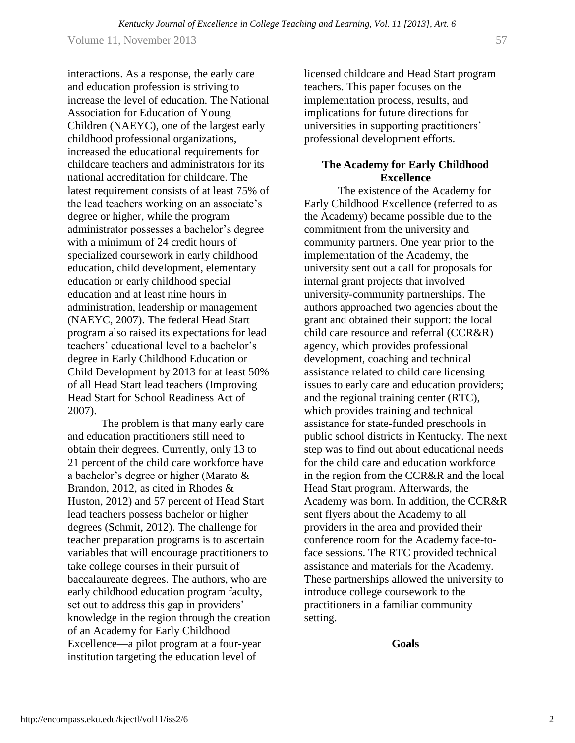interactions. As a response, the early care and education profession is striving to increase the level of education. The National Association for Education of Young Children (NAEYC), one of the largest early childhood professional organizations, increased the educational requirements for childcare teachers and administrators for its national accreditation for childcare. The latest requirement consists of at least 75% of the lead teachers working on an associate's degree or higher, while the program administrator possesses a bachelor's degree with a minimum of 24 credit hours of specialized coursework in early childhood education, child development, elementary education or early childhood special education and at least nine hours in administration, leadership or management (NAEYC, 2007). The federal Head Start program also raised its expectations for lead teachers' educational level to a bachelor's degree in Early Childhood Education or Child Development by 2013 for at least 50% of all Head Start lead teachers (Improving Head Start for School Readiness Act of 2007).

The problem is that many early care and education practitioners still need to obtain their degrees. Currently, only 13 to 21 percent of the child care workforce have a bachelor's degree or higher (Marato & Brandon, 2012, as cited in Rhodes & Huston, 2012) and 57 percent of Head Start lead teachers possess bachelor or higher degrees (Schmit, 2012). The challenge for teacher preparation programs is to ascertain variables that will encourage practitioners to take college courses in their pursuit of baccalaureate degrees. The authors, who are early childhood education program faculty, set out to address this gap in providers' knowledge in the region through the creation of an Academy for Early Childhood Excellence—a pilot program at a four-year institution targeting the education level of

licensed childcare and Head Start program teachers. This paper focuses on the implementation process, results, and implications for future directions for universities in supporting practitioners' professional development efforts.

# **The Academy for Early Childhood Excellence**

The existence of the Academy for Early Childhood Excellence (referred to as the Academy) became possible due to the commitment from the university and community partners. One year prior to the implementation of the Academy, the university sent out a call for proposals for internal grant projects that involved university-community partnerships. The authors approached two agencies about the grant and obtained their support: the local child care resource and referral (CCR&R) agency, which provides professional development, coaching and technical assistance related to child care licensing issues to early care and education providers; and the regional training center (RTC), which provides training and technical assistance for state-funded preschools in public school districts in Kentucky. The next step was to find out about educational needs for the child care and education workforce in the region from the CCR&R and the local Head Start program. Afterwards, the Academy was born. In addition, the CCR&R sent flyers about the Academy to all providers in the area and provided their conference room for the Academy face-toface sessions. The RTC provided technical assistance and materials for the Academy. These partnerships allowed the university to introduce college coursework to the practitioners in a familiar community setting.

**Goals**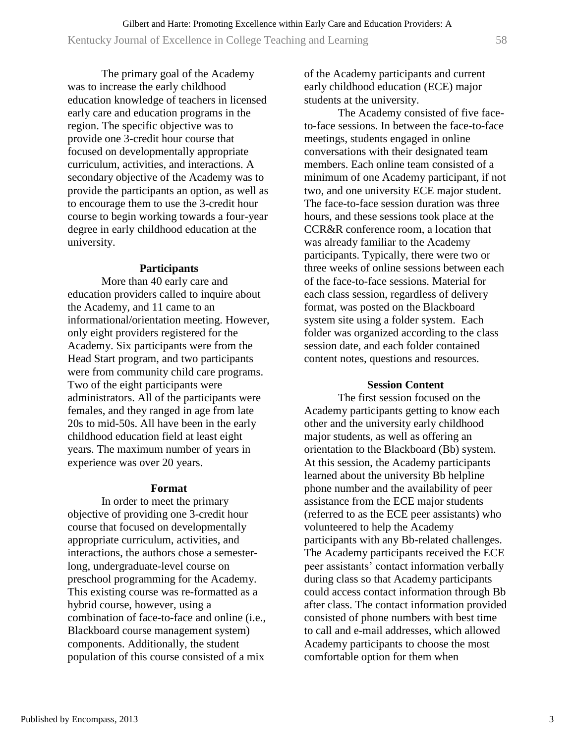The primary goal of the Academy was to increase the early childhood education knowledge of teachers in licensed early care and education programs in the region. The specific objective was to provide one 3-credit hour course that focused on developmentally appropriate curriculum, activities, and interactions. A secondary objective of the Academy was to provide the participants an option, as well as to encourage them to use the 3-credit hour course to begin working towards a four-year degree in early childhood education at the university.

#### **Participants**

More than 40 early care and education providers called to inquire about the Academy, and 11 came to an informational/orientation meeting. However, only eight providers registered for the Academy. Six participants were from the Head Start program, and two participants were from community child care programs. Two of the eight participants were administrators. All of the participants were females, and they ranged in age from late 20s to mid-50s. All have been in the early childhood education field at least eight years. The maximum number of years in experience was over 20 years.

#### **Format**

In order to meet the primary objective of providing one 3-credit hour course that focused on developmentally appropriate curriculum, activities, and interactions, the authors chose a semesterlong, undergraduate-level course on preschool programming for the Academy. This existing course was re-formatted as a hybrid course, however, using a combination of face-to-face and online (i.e., Blackboard course management system) components. Additionally, the student population of this course consisted of a mix

of the Academy participants and current early childhood education (ECE) major students at the university.

The Academy consisted of five faceto-face sessions. In between the face-to-face meetings, students engaged in online conversations with their designated team members. Each online team consisted of a minimum of one Academy participant, if not two, and one university ECE major student. The face-to-face session duration was three hours, and these sessions took place at the CCR&R conference room, a location that was already familiar to the Academy participants. Typically, there were two or three weeks of online sessions between each of the face-to-face sessions. Material for each class session, regardless of delivery format, was posted on the Blackboard system site using a folder system. Each folder was organized according to the class session date, and each folder contained content notes, questions and resources.

#### **Session Content**

The first session focused on the Academy participants getting to know each other and the university early childhood major students, as well as offering an orientation to the Blackboard (Bb) system. At this session, the Academy participants learned about the university Bb helpline phone number and the availability of peer assistance from the ECE major students (referred to as the ECE peer assistants) who volunteered to help the Academy participants with any Bb-related challenges. The Academy participants received the ECE peer assistants' contact information verbally during class so that Academy participants could access contact information through Bb after class. The contact information provided consisted of phone numbers with best time to call and e-mail addresses, which allowed Academy participants to choose the most comfortable option for them when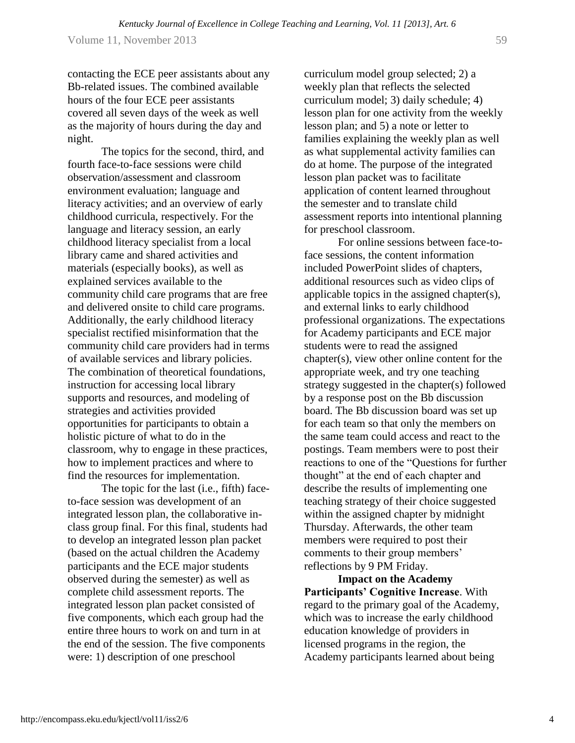http://encompass.eku.edu/kjectl/vol11/iss2/6

4

Volume 11, November 2013 59

contacting the ECE peer assistants about any Bb-related issues. The combined available hours of the four ECE peer assistants covered all seven days of the week as well as the majority of hours during the day and night.

The topics for the second, third, and fourth face-to-face sessions were child observation/assessment and classroom environment evaluation; language and literacy activities; and an overview of early childhood curricula, respectively. For the language and literacy session, an early childhood literacy specialist from a local library came and shared activities and materials (especially books), as well as explained services available to the community child care programs that are free and delivered onsite to child care programs. Additionally, the early childhood literacy specialist rectified misinformation that the community child care providers had in terms of available services and library policies. The combination of theoretical foundations, instruction for accessing local library supports and resources, and modeling of strategies and activities provided opportunities for participants to obtain a holistic picture of what to do in the classroom, why to engage in these practices, how to implement practices and where to find the resources for implementation.

The topic for the last (i.e., fifth) faceto-face session was development of an integrated lesson plan, the collaborative inclass group final. For this final, students had to develop an integrated lesson plan packet (based on the actual children the Academy participants and the ECE major students observed during the semester) as well as complete child assessment reports. The integrated lesson plan packet consisted of five components, which each group had the entire three hours to work on and turn in at the end of the session. The five components were: 1) description of one preschool

curriculum model group selected; 2) a weekly plan that reflects the selected curriculum model; 3) daily schedule; 4) lesson plan for one activity from the weekly lesson plan; and 5) a note or letter to families explaining the weekly plan as well as what supplemental activity families can do at home. The purpose of the integrated lesson plan packet was to facilitate application of content learned throughout the semester and to translate child assessment reports into intentional planning for preschool classroom.

For online sessions between face-toface sessions, the content information included PowerPoint slides of chapters, additional resources such as video clips of applicable topics in the assigned chapter(s), and external links to early childhood professional organizations. The expectations for Academy participants and ECE major students were to read the assigned chapter(s), view other online content for the appropriate week, and try one teaching strategy suggested in the chapter(s) followed by a response post on the Bb discussion board. The Bb discussion board was set up for each team so that only the members on the same team could access and react to the postings. Team members were to post their reactions to one of the "Questions for further thought" at the end of each chapter and describe the results of implementing one teaching strategy of their choice suggested within the assigned chapter by midnight Thursday. Afterwards, the other team members were required to post their comments to their group members' reflections by 9 PM Friday.

**Impact on the Academy Participants' Cognitive Increase**. With regard to the primary goal of the Academy, which was to increase the early childhood education knowledge of providers in licensed programs in the region, the Academy participants learned about being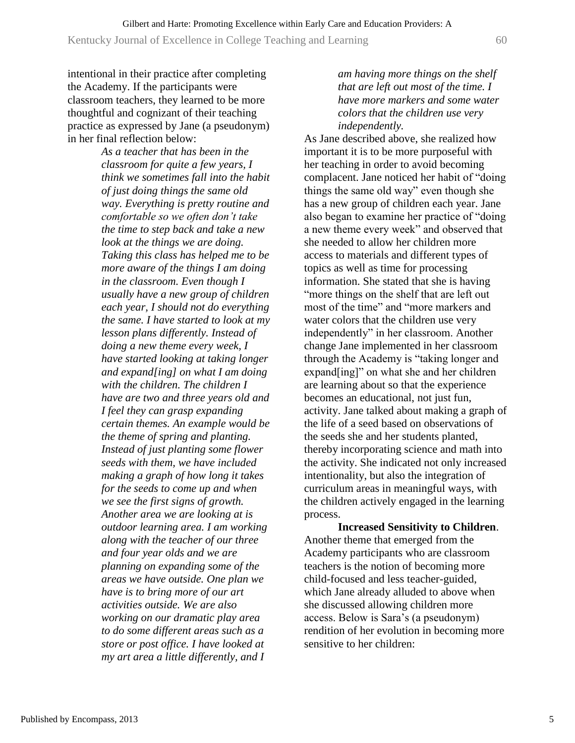Kentucky Journal of Excellence in College Teaching and Learning 60

intentional in their practice after completing the Academy. If the participants were classroom teachers, they learned to be more thoughtful and cognizant of their teaching practice as expressed by Jane (a pseudonym) in her final reflection below:

> *As a teacher that has been in the classroom for quite a few years, I think we sometimes fall into the habit of just doing things the same old way. Everything is pretty routine and comfortable so we often don't take the time to step back and take a new look at the things we are doing. Taking this class has helped me to be more aware of the things I am doing in the classroom. Even though I usually have a new group of children each year, I should not do everything the same. I have started to look at my lesson plans differently. Instead of doing a new theme every week, I have started looking at taking longer and expand[ing] on what I am doing with the children. The children I have are two and three years old and I feel they can grasp expanding certain themes. An example would be the theme of spring and planting. Instead of just planting some flower seeds with them, we have included making a graph of how long it takes for the seeds to come up and when we see the first signs of growth. Another area we are looking at is outdoor learning area. I am working along with the teacher of our three and four year olds and we are planning on expanding some of the areas we have outside. One plan we have is to bring more of our art activities outside. We are also working on our dramatic play area to do some different areas such as a store or post office. I have looked at my art area a little differently, and I*

# *am having more things on the shelf that are left out most of the time. I have more markers and some water colors that the children use very independently.*

As Jane described above, she realized how important it is to be more purposeful with her teaching in order to avoid becoming complacent. Jane noticed her habit of "doing things the same old way" even though she has a new group of children each year. Jane also began to examine her practice of "doing a new theme every week" and observed that she needed to allow her children more access to materials and different types of topics as well as time for processing information. She stated that she is having "more things on the shelf that are left out most of the time" and "more markers and water colors that the children use very independently" in her classroom. Another change Jane implemented in her classroom through the Academy is "taking longer and expand[ing]" on what she and her children are learning about so that the experience becomes an educational, not just fun, activity. Jane talked about making a graph of the life of a seed based on observations of the seeds she and her students planted, thereby incorporating science and math into the activity. She indicated not only increased intentionality, but also the integration of curriculum areas in meaningful ways, with the children actively engaged in the learning process.

**Increased Sensitivity to Children**. Another theme that emerged from the Academy participants who are classroom teachers is the notion of becoming more child-focused and less teacher-guided, which Jane already alluded to above when she discussed allowing children more access. Below is Sara's (a pseudonym) rendition of her evolution in becoming more sensitive to her children: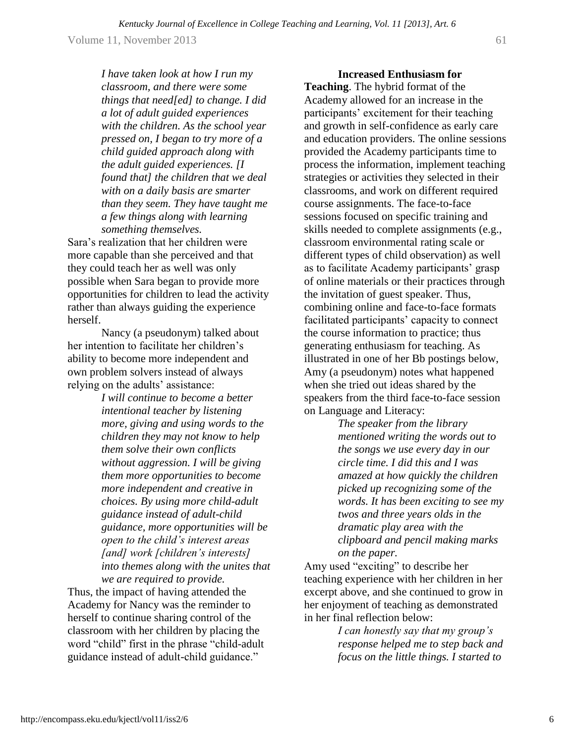Volume 11, November 2013  $\qquad \qquad \qquad$  61

*I have taken look at how I run my classroom, and there were some things that need[ed] to change. I did a lot of adult guided experiences with the children. As the school year pressed on, I began to try more of a child guided approach along with the adult guided experiences. [I found that] the children that we deal with on a daily basis are smarter than they seem. They have taught me a few things along with learning something themselves.*

Sara's realization that her children were more capable than she perceived and that they could teach her as well was only possible when Sara began to provide more opportunities for children to lead the activity rather than always guiding the experience herself.

Nancy (a pseudonym) talked about her intention to facilitate her children's ability to become more independent and own problem solvers instead of always relying on the adults' assistance:

> *I will continue to become a better intentional teacher by listening more, giving and using words to the children they may not know to help them solve their own conflicts without aggression. I will be giving them more opportunities to become more independent and creative in choices. By using more child-adult guidance instead of adult-child guidance, more opportunities will be open to the child's interest areas [and] work [children's interests] into themes along with the unites that we are required to provide.*

Thus, the impact of having attended the Academy for Nancy was the reminder to herself to continue sharing control of the classroom with her children by placing the word "child" first in the phrase "child-adult guidance instead of adult-child guidance."

**Increased Enthusiasm for Teaching**. The hybrid format of the Academy allowed for an increase in the participants' excitement for their teaching and growth in self-confidence as early care and education providers. The online sessions provided the Academy participants time to process the information, implement teaching strategies or activities they selected in their classrooms, and work on different required course assignments. The face-to-face sessions focused on specific training and skills needed to complete assignments (e.g., classroom environmental rating scale or different types of child observation) as well as to facilitate Academy participants' grasp of online materials or their practices through the invitation of guest speaker. Thus, combining online and face-to-face formats facilitated participants' capacity to connect the course information to practice; thus generating enthusiasm for teaching. As illustrated in one of her Bb postings below, Amy (a pseudonym) notes what happened when she tried out ideas shared by the speakers from the third face-to-face session on Language and Literacy:

> *The speaker from the library mentioned writing the words out to the songs we use every day in our circle time. I did this and I was amazed at how quickly the children picked up recognizing some of the words. It has been exciting to see my twos and three years olds in the dramatic play area with the clipboard and pencil making marks on the paper.*

Amy used "exciting" to describe her teaching experience with her children in her excerpt above, and she continued to grow in her enjoyment of teaching as demonstrated in her final reflection below:

> *I can honestly say that my group's response helped me to step back and focus on the little things. I started to*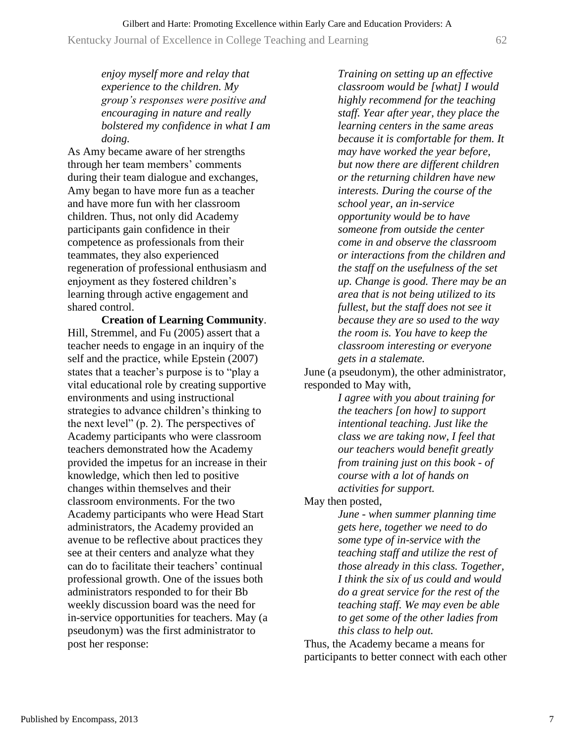Kentucky Journal of Excellence in College Teaching and Learning 62

*enjoy myself more and relay that experience to the children. My group's responses were positive and encouraging in nature and really bolstered my confidence in what I am doing.*

As Amy became aware of her strengths through her team members' comments during their team dialogue and exchanges, Amy began to have more fun as a teacher and have more fun with her classroom children. Thus, not only did Academy participants gain confidence in their competence as professionals from their teammates, they also experienced regeneration of professional enthusiasm and enjoyment as they fostered children's learning through active engagement and shared control.

**Creation of Learning Community**. Hill, Stremmel, and Fu (2005) assert that a teacher needs to engage in an inquiry of the self and the practice, while Epstein (2007) states that a teacher's purpose is to "play a vital educational role by creating supportive environments and using instructional strategies to advance children's thinking to the next level" (p. 2). The perspectives of Academy participants who were classroom teachers demonstrated how the Academy provided the impetus for an increase in their knowledge, which then led to positive changes within themselves and their classroom environments. For the two Academy participants who were Head Start administrators, the Academy provided an avenue to be reflective about practices they see at their centers and analyze what they can do to facilitate their teachers' continual professional growth. One of the issues both administrators responded to for their Bb weekly discussion board was the need for in-service opportunities for teachers. May (a pseudonym) was the first administrator to post her response:

*Training on setting up an effective classroom would be [what] I would highly recommend for the teaching staff. Year after year, they place the learning centers in the same areas because it is comfortable for them. It may have worked the year before, but now there are different children or the returning children have new interests. During the course of the school year, an in-service opportunity would be to have someone from outside the center come in and observe the classroom or interactions from the children and the staff on the usefulness of the set up. Change is good. There may be an area that is not being utilized to its fullest, but the staff does not see it because they are so used to the way the room is. You have to keep the classroom interesting or everyone gets in a stalemate.*

June (a pseudonym), the other administrator, responded to May with,

> *I agree with you about training for the teachers [on how] to support intentional teaching. Just like the class we are taking now, I feel that our teachers would benefit greatly from training just on this book - of course with a lot of hands on activities for support.*

May then posted,

*June - when summer planning time gets here, together we need to do some type of in-service with the teaching staff and utilize the rest of those already in this class. Together, I think the six of us could and would do a great service for the rest of the teaching staff. We may even be able to get some of the other ladies from this class to help out.*

Thus, the Academy became a means for participants to better connect with each other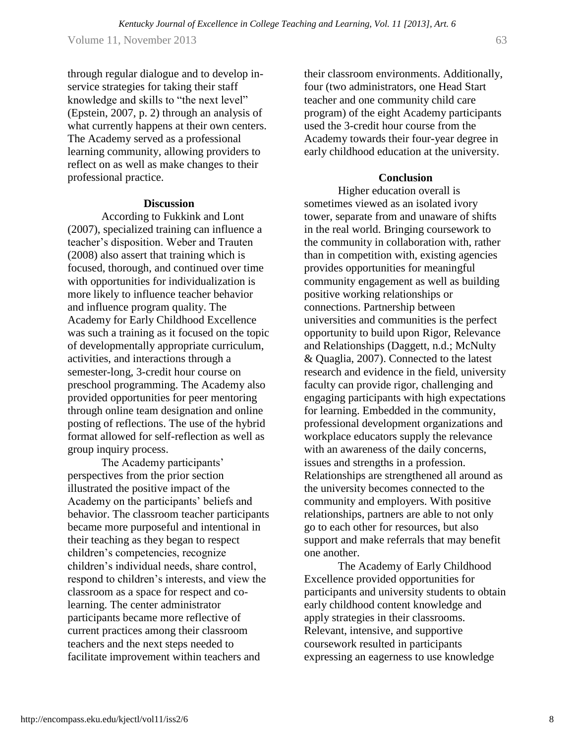Volume 11, November 2013 63

through regular dialogue and to develop inservice strategies for taking their staff knowledge and skills to "the next level" (Epstein, 2007, p. 2) through an analysis of what currently happens at their own centers. The Academy served as a professional learning community, allowing providers to reflect on as well as make changes to their professional practice.

#### **Discussion**

According to Fukkink and Lont (2007), specialized training can influence a teacher's disposition. Weber and Trauten (2008) also assert that training which is focused, thorough, and continued over time with opportunities for individualization is more likely to influence teacher behavior and influence program quality. The Academy for Early Childhood Excellence was such a training as it focused on the topic of developmentally appropriate curriculum, activities, and interactions through a semester-long, 3-credit hour course on preschool programming. The Academy also provided opportunities for peer mentoring through online team designation and online posting of reflections. The use of the hybrid format allowed for self-reflection as well as group inquiry process.

The Academy participants' perspectives from the prior section illustrated the positive impact of the Academy on the participants' beliefs and behavior. The classroom teacher participants became more purposeful and intentional in their teaching as they began to respect children's competencies, recognize children's individual needs, share control, respond to children's interests, and view the classroom as a space for respect and colearning. The center administrator participants became more reflective of current practices among their classroom teachers and the next steps needed to facilitate improvement within teachers and

their classroom environments. Additionally, four (two administrators, one Head Start teacher and one community child care program) of the eight Academy participants used the 3-credit hour course from the Academy towards their four-year degree in early childhood education at the university.

# **Conclusion**

Higher education overall is sometimes viewed as an isolated ivory tower, separate from and unaware of shifts in the real world. Bringing coursework to the community in collaboration with, rather than in competition with, existing agencies provides opportunities for meaningful community engagement as well as building positive working relationships or connections. Partnership between universities and communities is the perfect opportunity to build upon Rigor, Relevance and Relationships (Daggett, n.d.; McNulty & Quaglia, 2007). Connected to the latest research and evidence in the field, university faculty can provide rigor, challenging and engaging participants with high expectations for learning. Embedded in the community, professional development organizations and workplace educators supply the relevance with an awareness of the daily concerns, issues and strengths in a profession. Relationships are strengthened all around as the university becomes connected to the community and employers. With positive relationships, partners are able to not only go to each other for resources, but also support and make referrals that may benefit one another.

The Academy of Early Childhood Excellence provided opportunities for participants and university students to obtain early childhood content knowledge and apply strategies in their classrooms. Relevant, intensive, and supportive coursework resulted in participants expressing an eagerness to use knowledge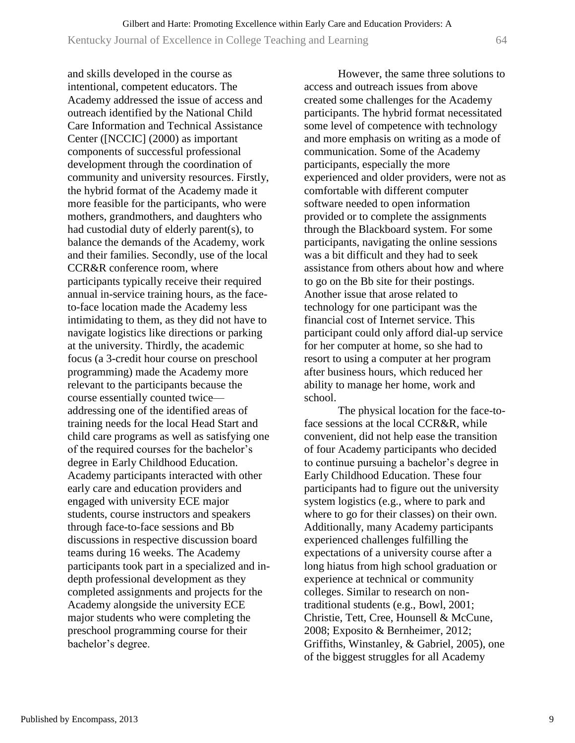and skills developed in the course as intentional, competent educators. The Academy addressed the issue of access and outreach identified by the National Child Care Information and Technical Assistance Center ([NCCIC] (2000) as important components of successful professional development through the coordination of community and university resources. Firstly, the hybrid format of the Academy made it more feasible for the participants, who were mothers, grandmothers, and daughters who had custodial duty of elderly parent(s), to balance the demands of the Academy, work and their families. Secondly, use of the local CCR&R conference room, where participants typically receive their required annual in-service training hours, as the faceto-face location made the Academy less intimidating to them, as they did not have to navigate logistics like directions or parking at the university. Thirdly, the academic focus (a 3-credit hour course on preschool programming) made the Academy more relevant to the participants because the course essentially counted twice addressing one of the identified areas of training needs for the local Head Start and child care programs as well as satisfying one of the required courses for the bachelor's degree in Early Childhood Education. Academy participants interacted with other early care and education providers and engaged with university ECE major students, course instructors and speakers through face-to-face sessions and Bb discussions in respective discussion board teams during 16 weeks. The Academy participants took part in a specialized and indepth professional development as they completed assignments and projects for the Academy alongside the university ECE major students who were completing the preschool programming course for their bachelor's degree.

However, the same three solutions to access and outreach issues from above created some challenges for the Academy participants. The hybrid format necessitated some level of competence with technology and more emphasis on writing as a mode of communication. Some of the Academy participants, especially the more experienced and older providers, were not as comfortable with different computer software needed to open information provided or to complete the assignments through the Blackboard system. For some participants, navigating the online sessions was a bit difficult and they had to seek assistance from others about how and where to go on the Bb site for their postings. Another issue that arose related to technology for one participant was the financial cost of Internet service. This participant could only afford dial-up service for her computer at home, so she had to resort to using a computer at her program after business hours, which reduced her ability to manage her home, work and school.

The physical location for the face-toface sessions at the local CCR&R, while convenient, did not help ease the transition of four Academy participants who decided to continue pursuing a bachelor's degree in Early Childhood Education. These four participants had to figure out the university system logistics (e.g., where to park and where to go for their classes) on their own. Additionally, many Academy participants experienced challenges fulfilling the expectations of a university course after a long hiatus from high school graduation or experience at technical or community colleges. Similar to research on nontraditional students (e.g., Bowl, 2001; Christie, Tett, Cree, Hounsell & McCune, 2008; Exposito & Bernheimer, 2012; Griffiths, Winstanley, & Gabriel, 2005), one of the biggest struggles for all Academy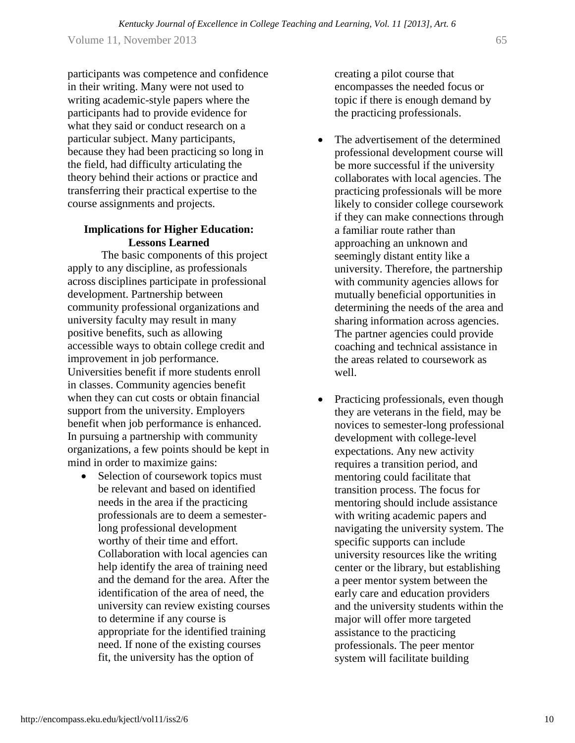Volume 11, November 2013 65 *Kentucky Journal of Excellence in College Teaching and Learning, Vol. 11 [2013], Art. 6*

participants was competence and confidence in their writing. Many were not used to writing academic-style papers where the participants had to provide evidence for what they said or conduct research on a particular subject. Many participants, because they had been practicing so long in the field, had difficulty articulating the theory behind their actions or practice and transferring their practical expertise to the course assignments and projects.

### **Implications for Higher Education: Lessons Learned**

The basic components of this project apply to any discipline, as professionals across disciplines participate in professional development. Partnership between community professional organizations and university faculty may result in many positive benefits, such as allowing accessible ways to obtain college credit and improvement in job performance. Universities benefit if more students enroll in classes. Community agencies benefit when they can cut costs or obtain financial support from the university. Employers benefit when job performance is enhanced. In pursuing a partnership with community organizations, a few points should be kept in mind in order to maximize gains:

 Selection of coursework topics must be relevant and based on identified needs in the area if the practicing professionals are to deem a semesterlong professional development worthy of their time and effort. Collaboration with local agencies can help identify the area of training need and the demand for the area. After the identification of the area of need, the university can review existing courses to determine if any course is appropriate for the identified training need. If none of the existing courses fit, the university has the option of

creating a pilot course that encompasses the needed focus or topic if there is enough demand by the practicing professionals.

- The advertisement of the determined professional development course will be more successful if the university collaborates with local agencies. The practicing professionals will be more likely to consider college coursework if they can make connections through a familiar route rather than approaching an unknown and seemingly distant entity like a university. Therefore, the partnership with community agencies allows for mutually beneficial opportunities in determining the needs of the area and sharing information across agencies. The partner agencies could provide coaching and technical assistance in the areas related to coursework as well.
- Practicing professionals, even though they are veterans in the field, may be novices to semester-long professional development with college-level expectations. Any new activity requires a transition period, and mentoring could facilitate that transition process. The focus for mentoring should include assistance with writing academic papers and navigating the university system. The specific supports can include university resources like the writing center or the library, but establishing a peer mentor system between the early care and education providers and the university students within the major will offer more targeted assistance to the practicing professionals. The peer mentor system will facilitate building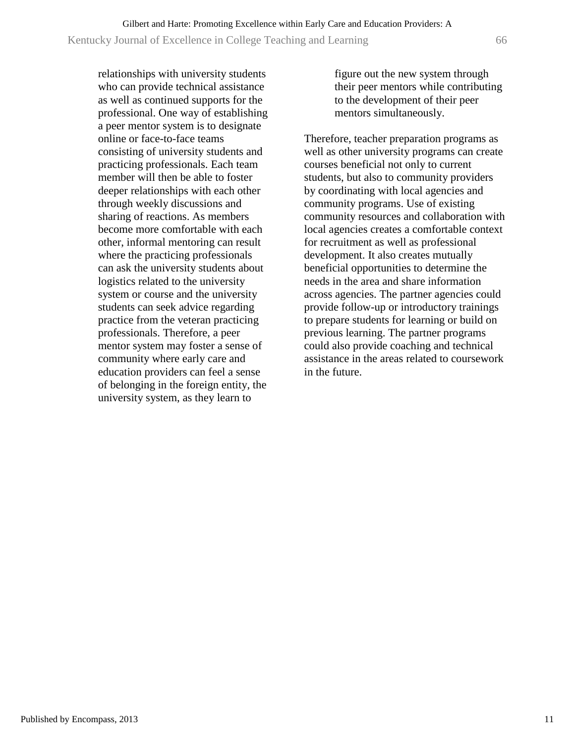relationships with university students who can provide technical assistance as well as continued supports for the professional. One way of establishing a peer mentor system is to designate online or face-to-face teams consisting of university students and practicing professionals. Each team member will then be able to foster deeper relationships with each other through weekly discussions and sharing of reactions. As members become more comfortable with each other, informal mentoring can result where the practicing professionals can ask the university students about logistics related to the university system or course and the university students can seek advice regarding practice from the veteran practicing professionals. Therefore, a peer mentor system may foster a sense of community where early care and education providers can feel a sense of belonging in the foreign entity, the university system, as they learn to

figure out the new system through their peer mentors while contributing to the development of their peer mentors simultaneously.

Therefore, teacher preparation programs as well as other university programs can create courses beneficial not only to current students, but also to community providers by coordinating with local agencies and community programs. Use of existing community resources and collaboration with local agencies creates a comfortable context for recruitment as well as professional development. It also creates mutually beneficial opportunities to determine the needs in the area and share information across agencies. The partner agencies could provide follow-up or introductory trainings to prepare students for learning or build on previous learning. The partner programs could also provide coaching and technical assistance in the areas related to coursework in the future.